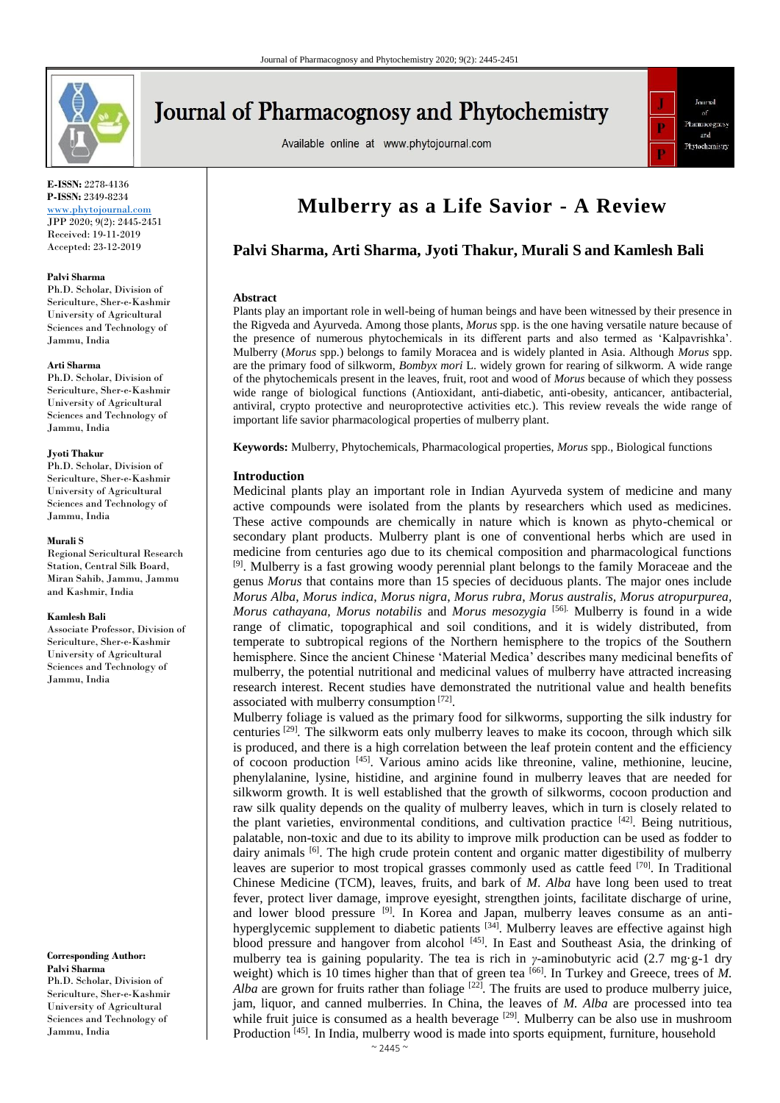

# **Journal of Pharmacognosy and Phytochemistry**

Available online at www.phytojournal.com



**E-ISSN:** 2278-4136 **P-ISSN:** 2349-8234 <www.phytojournal.com>

JPP 2020; 9(2): 2445-2451 Received: 19-11-2019 Accepted: 23-12-2019

#### **Palvi Sharma**

Ph.D. Scholar, Division of Sericulture, Sher-e-Kashmir University of Agricultural Sciences and Technology of Jammu, India

#### **Arti Sharma**

Ph.D. Scholar, Division of Sericulture, Sher-e-Kashmir University of Agricultural Sciences and Technology of Jammu, India

#### **Jyoti Thakur**

Ph.D. Scholar, Division of Sericulture, Sher-e-Kashmir University of Agricultural Sciences and Technology of Jammu, India

#### **Murali S**

Regional Sericultural Research Station, Central Silk Board, Miran Sahib, Jammu, Jammu and Kashmir, India

#### **Kamlesh Bali**

Associate Professor, Division of Sericulture, Sher-e-Kashmir University of Agricultural Sciences and Technology of Jammu, India

**Corresponding Author: Palvi Sharma** Ph.D. Scholar, Division of Sericulture, Sher-e-Kashmir University of Agricultural

Sciences and Technology of Jammu, India

## **Mulberry as a Life Savior - A Review**

## **Palvi Sharma, Arti Sharma, Jyoti Thakur, Murali S and Kamlesh Bali**

#### **Abstract**

Plants play an important role in well-being of human beings and have been witnessed by their presence in the Rigveda and Ayurveda. Among those plants, *Morus* spp. is the one having versatile nature because of the presence of numerous phytochemicals in its different parts and also termed as 'Kalpavrishka'. Mulberry (*Morus* spp*.*) belongs to family Moracea and is widely planted in Asia. Although *Morus* spp. are the primary food of silkworm, *Bombyx mori* L. widely grown for rearing of silkworm. A wide range of the phytochemicals present in the leaves, fruit, root and wood of *Morus* because of which they possess wide range of biological functions (Antioxidant, anti-diabetic, anti-obesity, anticancer, antibacterial, antiviral, crypto protective and neuroprotective activities etc.). This review reveals the wide range of important life savior pharmacological properties of mulberry plant.

**Keywords:** Mulberry, Phytochemicals, Pharmacological properties, *Morus* spp., Biological functions

#### **Introduction**

Medicinal plants play an important role in Indian Ayurveda system of medicine and many active compounds were isolated from the plants by researchers which used as medicines. These active compounds are chemically in nature which is known as phyto-chemical or secondary plant products. Mulberry plant is one of conventional herbs which are used in medicine from centuries ago due to its chemical composition and pharmacological functions  $[9]$ . Mulberry is a fast growing woody perennial plant belongs to the family Moraceae and the genus *Morus* that contains more than 15 species of deciduous plants. The major ones include *Morus Alba*, *Morus indica*, *Morus nigra*, *Morus rubra*, *Morus australis, Morus atropurpurea, Morus cathayana, Morus notabilis* and *Morus mesozygia* [56]. Mulberry is found in a wide range of climatic, topographical and soil conditions, and it is widely distributed, from temperate to subtropical regions of the Northern hemisphere to the tropics of the Southern hemisphere. Since the ancient Chinese 'Material Medica' describes many medicinal benefits of mulberry, the potential nutritional and medicinal values of mulberry have attracted increasing research interest. Recent studies have demonstrated the nutritional value and health benefits associated with mulberry consumption [72].

Mulberry foliage is valued as the primary food for silkworms, supporting the silk industry for centuries [29] *.* The silkworm eats only mulberry leaves to make its cocoon, through which silk is produced, and there is a high correlation between the leaf protein content and the efficiency of cocoon production [45]. Various amino acids like threonine, valine, methionine, leucine, phenylalanine, lysine, histidine, and arginine found in mulberry leaves that are needed for silkworm growth. It is well established that the growth of silkworms, cocoon production and raw silk quality depends on the quality of mulberry leaves, which in turn is closely related to the plant varieties, environmental conditions, and cultivation practice [42]. Being nutritious, palatable, non-toxic and due to its ability to improve milk production can be used as fodder to dairy animals <sup>[6]</sup>. The high crude protein content and organic matter digestibility of mulberry leaves are superior to most tropical grasses commonly used as cattle feed [70]. In Traditional Chinese Medicine (TCM), leaves, fruits, and bark of *M*. *Alba* have long been used to treat fever, protect liver damage, improve eyesight, strengthen joints, facilitate discharge of urine, and lower blood pressure <sup>[9]</sup>. In Korea and Japan, mulberry leaves consume as an antihyperglycemic supplement to diabetic patients <sup>[34]</sup>. Mulberry leaves are effective against high blood pressure and hangover from alcohol [45]. In East and Southeast Asia, the drinking of mulberry tea is gaining popularity. The tea is rich in *γ*-aminobutyric acid (2.7 mg·g-1 dry weight) which is 10 times higher than that of green tea <sup>[66]</sup>. In Turkey and Greece, trees of *M*. *Alba* are grown for fruits rather than foliage  $[22]$ . The fruits are used to produce mulberry juice, jam, liquor, and canned mulberries. In China, the leaves of *M. Alba* are processed into tea while fruit juice is consumed as a health beverage <sup>[29]</sup>. Mulberry can be also use in mushroom Production [45]. In India, mulberry wood is made into sports equipment, furniture, household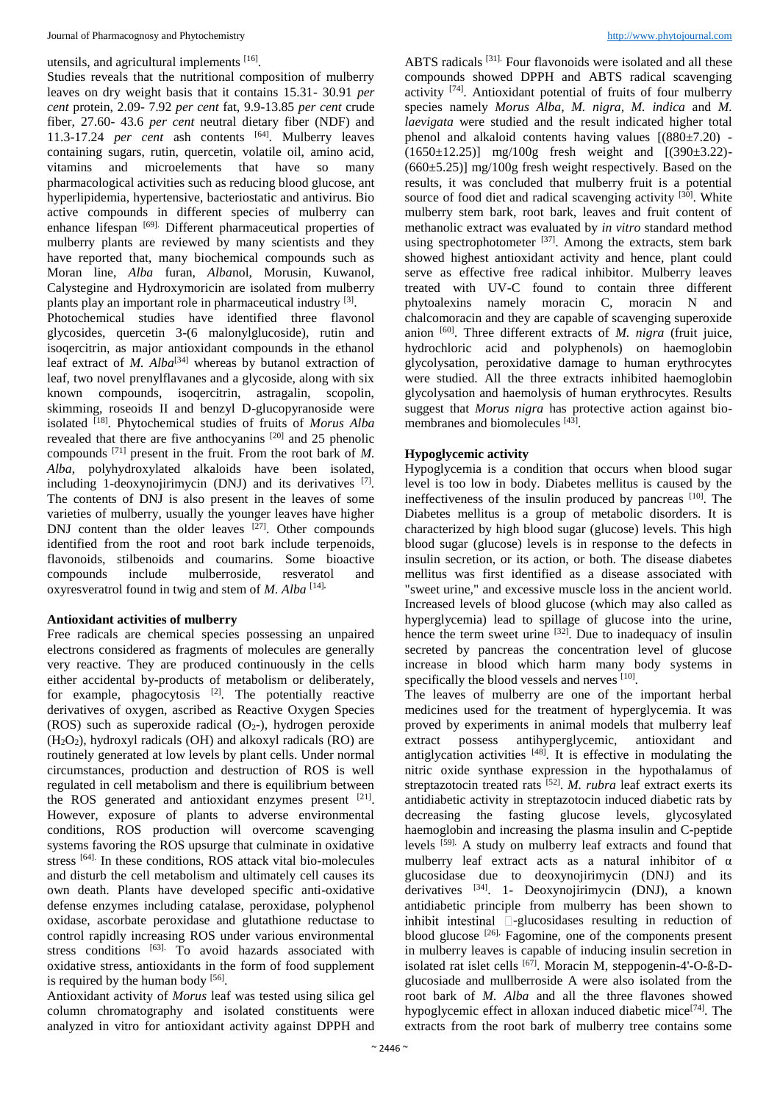#### utensils, and agricultural implements [16].

Studies reveals that the nutritional composition of mulberry leaves on dry weight basis that it contains 15.31- 30.91 *per cent* protein, 2.09- 7.92 *per cent* fat, 9.9-13.85 *per cent* crude fiber, 27.60- 43.6 *per cent* neutral dietary fiber (NDF) and 11.3-17.24 *per cent* ash contents [64]. Mulberry leaves containing sugars, rutin, quercetin, volatile oil, amino acid, vitamins and microelements that have so many pharmacological activities such as reducing blood glucose, ant hyperlipidemia, hypertensive, bacteriostatic and antivirus. Bio active compounds in different species of mulberry can enhance lifespan [69]. Different pharmaceutical properties of mulberry plants are reviewed by many scientists and they have reported that, many biochemical compounds such as Moran line, *Alba* furan, *Alba*nol, Morusin, Kuwanol, Calystegine and Hydroxymoricin are isolated from mulberry plants play an important role in pharmaceutical industry [3].

Photochemical studies have identified three flavonol glycosides, quercetin 3-(6 malonylglucoside), rutin and isoqercitrin, as major antioxidant compounds in the ethanol leaf extract of *M. Alba*<sup>[34]</sup> whereas by butanol extraction of leaf, two novel prenylflavanes and a glycoside, along with six known compounds, isoqercitrin, astragalin, scopolin, skimming, roseoids II and benzyl D-glucopyranoside were isolated [18] . Phytochemical studies of fruits of *Morus Alba* revealed that there are five anthocyanins [20] and 25 phenolic compounds [71] present in the fruit. From the root bark of *M. Alba*, polyhydroxylated alkaloids have been isolated, including 1-deoxynojirimycin (DNJ) and its derivatives [7] *.*  The contents of DNJ is also present in the leaves of some varieties of mulberry, usually the younger leaves have higher DNJ content than the older leaves  $[27]$ . Other compounds identified from the root and root bark include terpenoids, flavonoids, stilbenoids and coumarins. Some bioactive compounds include mulberroside, resveratol and oxyresveratrol found in twig and stem of *M. Alba* [14]**.**

## **Antioxidant activities of mulberry**

Free radicals are chemical species possessing an unpaired electrons considered as fragments of molecules are generally very reactive. They are produced continuously in the cells either accidental by-products of metabolism or deliberately, for example, phagocytosis <sup>[2]</sup>. The potentially reactive derivatives of oxygen, ascribed as Reactive Oxygen Species (ROS) such as superoxide radical  $(O_2)$ -), hydrogen peroxide  $(H<sub>2</sub>O<sub>2</sub>)$ , hydroxyl radicals (OH) and alkoxyl radicals (RO) are routinely generated at low levels by plant cells. Under normal circumstances, production and destruction of ROS is well regulated in cell metabolism and there is equilibrium between the ROS generated and antioxidant enzymes present [21]. However, exposure of plants to adverse environmental conditions, ROS production will overcome scavenging systems favoring the ROS upsurge that culminate in oxidative stress <sup>[64]</sup>. In these conditions, ROS attack vital bio-molecules and disturb the cell metabolism and ultimately cell causes its own death. Plants have developed specific anti-oxidative defense enzymes including catalase, peroxidase, polyphenol oxidase, ascorbate peroxidase and glutathione reductase to control rapidly increasing ROS under various environmental stress conditions [63]. To avoid hazards associated with oxidative stress, antioxidants in the form of food supplement is required by the human body  $[56]$ .

Antioxidant activity of *Morus* leaf was tested using silica gel column chromatography and isolated constituents were analyzed in vitro for antioxidant activity against DPPH and ABTS radicals [31]. Four flavonoids were isolated and all these compounds showed DPPH and ABTS radical scavenging activity  $[74]$ . Antioxidant potential of fruits of four mulberry species namely *Morus Alba, M. nigra, M. indica* and *M. laevigata* were studied and the result indicated higher total phenol and alkaloid contents having values  $[(880±7.20) (1650 \pm 12.25)$ ] mg/100g fresh weight and  $[(390 \pm 3.22) (660±5.25)$ ] mg/100g fresh weight respectively. Based on the results, it was concluded that mulberry fruit is a potential source of food diet and radical scavenging activity  $[30]$ . White mulberry stem bark, root bark, leaves and fruit content of methanolic extract was evaluated by *in vitro* standard method using spectrophotometer  $^{[37]}$ . Among the extracts, stem bark showed highest antioxidant activity and hence, plant could serve as effective free radical inhibitor. Mulberry leaves treated with UV-C found to contain three different phytoalexins namely moracin C, moracin N and chalcomoracin and they are capable of scavenging superoxide anion [60]. Three different extracts of *M. nigra* (fruit juice, hydrochloric acid and polyphenols) on haemoglobin glycolysation, peroxidative damage to human erythrocytes were studied. All the three extracts inhibited haemoglobin glycolysation and haemolysis of human erythrocytes. Results suggest that *Morus nigra* has protective action against biomembranes and biomolecules [43].

## **Hypoglycemic activity**

Hypoglycemia is a condition that occurs when blood sugar level is too low in body. Diabetes mellitus is caused by the ineffectiveness of the insulin produced by pancreas  $[10]$ . The Diabetes mellitus is a group of metabolic disorders. It is characterized by high blood sugar (glucose) levels. This high blood sugar (glucose) levels is in response to the defects in insulin secretion, or its action, or both. The disease diabetes mellitus was first identified as a disease associated with "sweet urine," and excessive muscle loss in the ancient world. Increased levels of blood glucose (which may also called as hyperglycemia) lead to spillage of glucose into the urine, hence the term sweet urine  $[32]$ . Due to inadequacy of insulin secreted by pancreas the concentration level of glucose increase in blood which harm many body systems in specifically the blood vessels and nerves [10].

The leaves of mulberry are one of the important herbal medicines used for the treatment of hyperglycemia. It was proved by experiments in animal models that mulberry leaf extract possess antihyperglycemic, antioxidant and antiglycation activities [48] . It is effective in modulating the nitric oxide synthase expression in the hypothalamus of streptazotocin treated rats <sup>[52]</sup>. *M. rubra* leaf extract exerts its antidiabetic activity in streptazotocin induced diabetic rats by decreasing the fasting glucose levels, glycosylated haemoglobin and increasing the plasma insulin and C-peptide levels [59]. A study on mulberry leaf extracts and found that mulberry leaf extract acts as a natural inhibitor of  $\alpha$ glucosidase due to deoxynojirimycin (DNJ) and its derivatives <sup>[34]</sup>. 1- Deoxynojirimycin (DNJ), a known antidiabetic principle from mulberry has been shown to inhibit intestinal  $\square$ -glucosidases resulting in reduction of blood glucose [26]**.** Fagomine, one of the components present in mulberry leaves is capable of inducing insulin secretion in isolated rat islet cells <sup>[67]</sup>. Moracin M, steppogenin-4'-O-ß-Dglucosiade and mullberroside A were also isolated from the root bark of *M. Alba* and all the three flavones showed hypoglycemic effect in alloxan induced diabetic mice<sup>[74]</sup>. The extracts from the root bark of mulberry tree contains some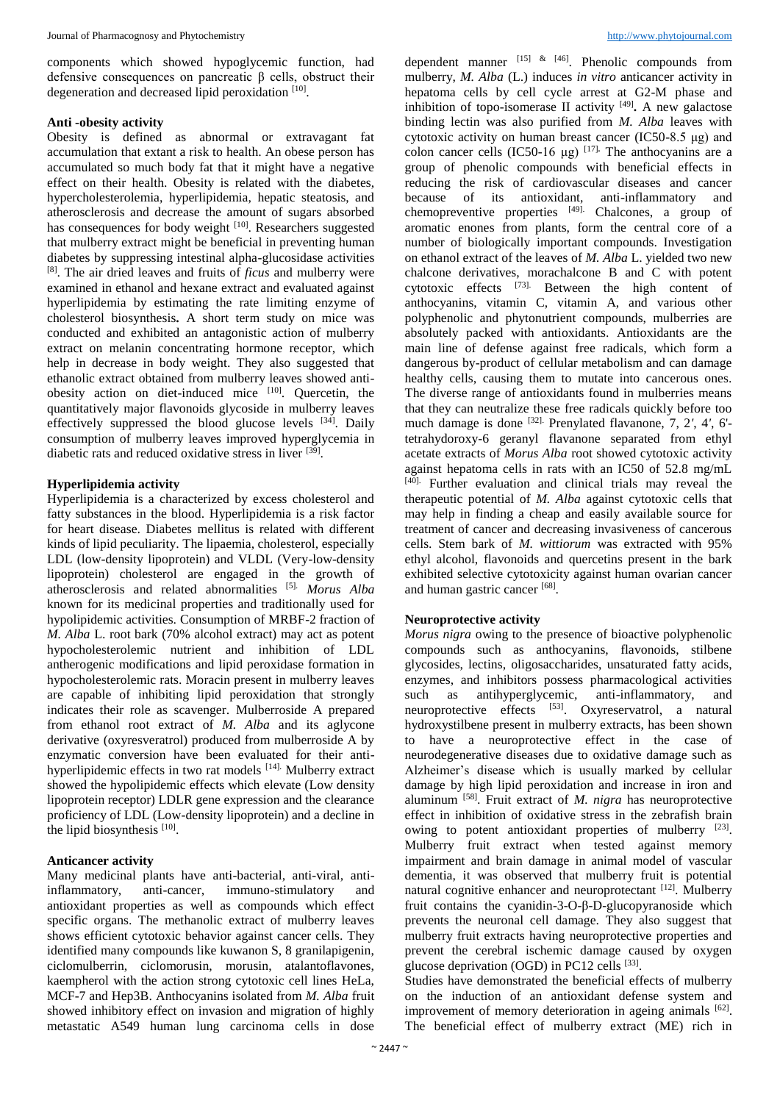components which showed hypoglycemic function, had defensive consequences on pancreatic β cells, obstruct their degeneration and decreased lipid peroxidation [10].

#### **Anti -obesity activity**

Obesity is defined as abnormal or extravagant fat accumulation that extant a risk to health. An obese person has accumulated so much body fat that it might have a negative effect on their health. Obesity is related with the diabetes, hypercholesterolemia, hyperlipidemia, hepatic steatosis, and atherosclerosis and decrease the amount of sugars absorbed has consequences for body weight <sup>[10]</sup>. Researchers suggested that mulberry extract might be beneficial in preventing human diabetes by suppressing intestinal alpha-glucosidase activities [8]. The air dried leaves and fruits of *ficus* and mulberry were examined in ethanol and hexane extract and evaluated against hyperlipidemia by estimating the rate limiting enzyme of cholesterol biosynthesis**.** A short term study on mice was conducted and exhibited an antagonistic action of mulberry extract on melanin concentrating hormone receptor, which help in decrease in body weight. They also suggested that ethanolic extract obtained from mulberry leaves showed antiobesity action on diet-induced mice [10]. Quercetin, the quantitatively major flavonoids glycoside in mulberry leaves effectively suppressed the blood glucose levels  $[34]$ . Daily consumption of mulberry leaves improved hyperglycemia in diabetic rats and reduced oxidative stress in liver [39] .

## **Hyperlipidemia activity**

Hyperlipidemia is a characterized by excess cholesterol and fatty substances in the blood. Hyperlipidemia is a risk factor for heart disease. Diabetes mellitus is related with different kinds of lipid peculiarity. The lipaemia, cholesterol, especially LDL (low-density lipoprotein) and VLDL (Very-low-density lipoprotein) cholesterol are engaged in the growth of atherosclerosis and related abnormalities [5]. *Morus Alba* known for its medicinal properties and traditionally used for hypolipidemic activities. Consumption of MRBF-2 fraction of *M. Alba* L. root bark (70% alcohol extract) may act as potent hypocholesterolemic nutrient and inhibition of LDL antherogenic modifications and lipid peroxidase formation in hypocholesterolemic rats. Moracin present in mulberry leaves are capable of inhibiting lipid peroxidation that strongly indicates their role as scavenger. Mulberroside A prepared from ethanol root extract of *M. Alba* and its aglycone derivative (oxyresveratrol) produced from mulberroside A by enzymatic conversion have been evaluated for their antihyperlipidemic effects in two rat models [14]. Mulberry extract showed the hypolipidemic effects which elevate (Low density lipoprotein receptor) LDLR gene expression and the clearance proficiency of LDL (Low-density lipoprotein) and a decline in the lipid biosynthesis  $[10]$ .

## **Anticancer activity**

Many medicinal plants have anti-bacterial, anti-viral, antiinflammatory, anti-cancer, immuno-stimulatory and antioxidant properties as well as compounds which effect specific organs. The methanolic extract of mulberry leaves shows efficient cytotoxic behavior against cancer cells. They identified many compounds like kuwanon S, 8 granilapigenin, ciclomulberrin, ciclomorusin, morusin, atalantoflavones, kaempherol with the action strong cytotoxic cell lines HeLa, MCF-7 and Hep3B. Anthocyanins isolated from *M. Alba* fruit showed inhibitory effect on invasion and migration of highly metastatic A549 human lung carcinoma cells in dose

dependent manner  $^{[15]}$  &  $^{[46]}$ . Phenolic compounds from mulberry, *M. Alba* (L.) induces *in vitro* anticancer activity in hepatoma cells by cell cycle arrest at G2-M phase and inhibition of topo-isomerase II activity [49] **.** A new galactose binding lectin was also purified from *M. Alba* leaves with cytotoxic activity on human breast cancer (IC50-8.5 μg) and colon cancer cells  $(IC50-16 \mu g)^{[17]}$ . The anthocyanins are a group of phenolic compounds with beneficial effects in reducing the risk of cardiovascular diseases and cancer because of its antioxidant, anti-inflammatory and chemopreventive properties  $[49]$ . Chalcones, a group of aromatic enones from plants, form the central core of a number of biologically important compounds. Investigation on ethanol extract of the leaves of *M. Alba* L. yielded two new chalcone derivatives, morachalcone B and C with potent cytotoxic effects [73]. Between the high content of anthocyanins, vitamin C, vitamin A, and various other polyphenolic and phytonutrient compounds, mulberries are absolutely packed with antioxidants. Antioxidants are the main line of defense against free radicals, which form a dangerous by-product of cellular metabolism and can damage healthy cells, causing them to mutate into cancerous ones. The diverse range of antioxidants found in mulberries means that they can neutralize these free radicals quickly before too much damage is done [32]. Prenylated flavanone, 7, 2*'*, 4*'*, 6' tetrahydoroxy-6 geranyl flavanone separated from ethyl acetate extracts of *Morus Alba* root showed cytotoxic activity against hepatoma cells in rats with an IC50 of 52.8 mg/mL [40]. Further evaluation and clinical trials may reveal the therapeutic potential of *M. Alba* against cytotoxic cells that may help in finding a cheap and easily available source for treatment of cancer and decreasing invasiveness of cancerous cells. Stem bark of *M. wittiorum* was extracted with 95% ethyl alcohol, flavonoids and quercetins present in the bark exhibited selective cytotoxicity against human ovarian cancer and human gastric cancer [68].

#### **Neuroprotective activity**

*Morus nigra* owing to the presence of bioactive polyphenolic compounds such as anthocyanins, flavonoids, stilbene glycosides, lectins, oligosaccharides, unsaturated fatty acids, enzymes, and inhibitors possess pharmacological activities such as antihyperglycemic, anti-inflammatory, and neuroprotective effects [53]. Oxyreservatrol, a natural hydroxystilbene present in mulberry extracts, has been shown to have a neuroprotective effect in the case of neurodegenerative diseases due to oxidative damage such as Alzheimer's disease which is usually marked by cellular damage by high lipid peroxidation and increase in iron and aluminum [58] . Fruit extract of *M. nigra* has neuroprotective effect in inhibition of oxidative stress in the zebrafish brain owing to potent antioxidant properties of mulberry [23]. Mulberry fruit extract when tested against memory impairment and brain damage in animal model of vascular dementia, it was observed that mulberry fruit is potential natural cognitive enhancer and neuroprotectant [12]. Mulberry fruit contains the cyanidin-3-O-β-D-glucopyranoside which prevents the neuronal cell damage. They also suggest that mulberry fruit extracts having neuroprotective properties and prevent the cerebral ischemic damage caused by oxygen glucose deprivation (OGD) in PC12 cells [33].

Studies have demonstrated the beneficial effects of mulberry on the induction of an antioxidant defense system and improvement of memory deterioration in ageing animals  $[62]$ . The beneficial effect of mulberry extract (ME) rich in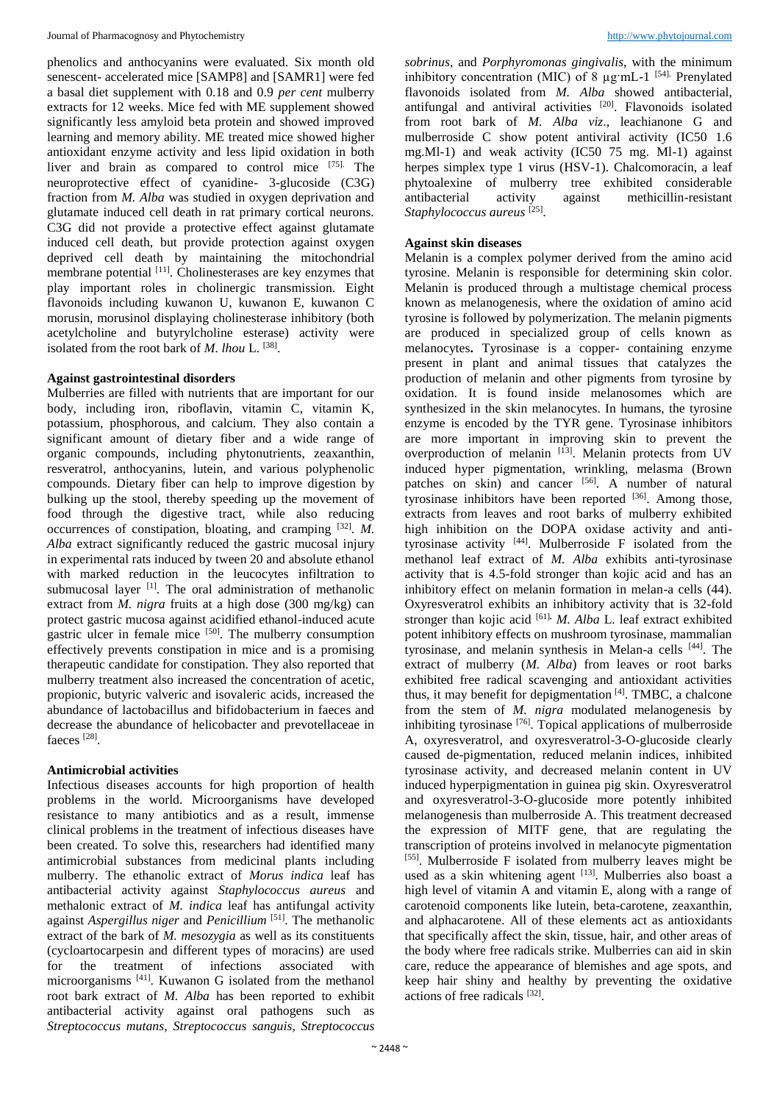phenolics and anthocyanins were evaluated. Six month old senescent- accelerated mice [SAMP8] and [SAMR1] were fed a basal diet supplement with 0.18 and 0.9 *per cent* mulberry extracts for 12 weeks. Mice fed with ME supplement showed significantly less amyloid beta protein and showed improved learning and memory ability. ME treated mice showed higher antioxidant enzyme activity and less lipid oxidation in both liver and brain as compared to control mice [75]. The neuroprotective effect of cyanidine- 3-glucoside (C3G) fraction from *M. Alba* was studied in oxygen deprivation and glutamate induced cell death in rat primary cortical neurons. C3G did not provide a protective effect against glutamate induced cell death, but provide protection against oxygen deprived cell death by maintaining the mitochondrial membrane potential <sup>[11]</sup>. Cholinesterases are key enzymes that play important roles in cholinergic transmission. Eight flavonoids including kuwanon U, kuwanon E, kuwanon C morusin, morusinol displaying cholinesterase inhibitory (both acetylcholine and butyrylcholine esterase) activity were isolated from the root bark of *M. lhou* L. [38] .

### **Against gastrointestinal disorders**

Mulberries are filled with nutrients that are important for our body, including iron, riboflavin, vitamin C, vitamin K, potassium, phosphorous, and calcium. They also contain a significant amount of dietary fiber and a wide range of organic compounds, including phytonutrients, zeaxanthin, resveratrol, anthocyanins, lutein, and various polyphenolic compounds. Dietary fiber can help to improve digestion by bulking up the stool, thereby speeding up the movement of food through the digestive tract, while also reducing occurrences of constipation, bloating, and cramping [32] . *M. Alba* extract significantly reduced the gastric mucosal injury in experimental rats induced by tween 20 and absolute ethanol with marked reduction in the leucocytes infiltration to submucosal layer <sup>[1]</sup>. The oral administration of methanolic extract from *M. nigra* fruits at a high dose (300 mg/kg) can protect gastric mucosa against acidified ethanol-induced acute gastric ulcer in female mice  $[50]$ . The mulberry consumption effectively prevents constipation in mice and is a promising therapeutic candidate for constipation. They also reported that mulberry treatment also increased the concentration of acetic, propionic, butyric valveric and isovaleric acids, increased the abundance of lactobacillus and bifidobacterium in faeces and decrease the abundance of helicobacter and prevotellaceae in faeces<sup>[28]</sup>.

## **Antimicrobial activities**

Infectious diseases accounts for high proportion of health problems in the world. Microorganisms have developed resistance to many antibiotics and as a result, immense clinical problems in the treatment of infectious diseases have been created. To solve this, researchers had identified many antimicrobial substances from medicinal plants including mulberry. The ethanolic extract of *Morus indica* leaf has antibacterial activity against *Staphylococcus aureus* and methalonic extract of *M. indica* leaf has antifungal activity against *Aspergillus niger* and *Penicillium* [51] . The methanolic extract of the bark of *M. mesozygia* as well as its constituents (cycloartocarpesin and different types of moracins) are used for the treatment of infections associated with microorganisms<sup>[41]</sup>. Kuwanon G isolated from the methanol root bark extract of *M. Alba* has been reported to exhibit antibacterial activity against oral pathogens such as *Streptococcus mutans*, *Streptococcus sanguis*, *Streptococcus* 

*sobrinus*, and *Porphyromonas gingivalis*, with the minimum inhibitory concentration (MIC) of  $8 \mu$ g·mL-1<sup>[54].</sup> Prenylated flavonoids isolated from *M. Alba* showed antibacterial, antifungal and antiviral activities [20]. Flavonoids isolated from root bark of *M. Alba viz*., leachianone G and mulberroside C show potent antiviral activity (IC50 1.6 mg.Ml-1) and weak activity (IC50 75 mg. Ml-1) against herpes simplex type 1 virus (HSV-1). Chalcomoracin, a leaf phytoalexine of mulberry tree exhibited considerable antibacterial activity against methicillin-resistant *Staphylococcus aureus* [25] .

### **Against skin diseases**

Melanin is a complex polymer derived from the amino acid tyrosine. Melanin is responsible for determining skin color. Melanin is produced through a multistage chemical process known as melanogenesis, where the oxidation of amino acid tyrosine is followed by polymerization. The melanin pigments are produced in specialized group of cells known as melanocytes**.** Tyrosinase is a copper- containing enzyme present in plant and animal tissues that catalyzes the production of melanin and other pigments from tyrosine by oxidation. It is found inside melanosomes which are synthesized in the skin melanocytes. In humans, the tyrosine enzyme is encoded by the TYR gene. Tyrosinase inhibitors are more important in improving skin to prevent the overproduction of melanin  $[13]$ . Melanin protects from UV induced hyper pigmentation, wrinkling, melasma (Brown patches on skin) and cancer [56]. A number of natural tyrosinase inhibitors have been reported  $[36]$ . Among those, extracts from leaves and root barks of mulberry exhibited high inhibition on the DOPA oxidase activity and antityrosinase activity  $[44]$ . Mulberroside F isolated from the methanol leaf extract of *M. Alba* exhibits anti-tyrosinase activity that is 4.5-fold stronger than kojic acid and has an inhibitory effect on melanin formation in melan-a cells (44)*.*  Oxyresveratrol exhibits an inhibitory activity that is 32-fold stronger than kojic acid [61]**.** *M. Alba* L. leaf extract exhibited potent inhibitory effects on mushroom tyrosinase, mammalian tyrosinase, and melanin synthesis in Melan-a cells [44] . The extract of mulberry (*M. Alba*) from leaves or root barks exhibited free radical scavenging and antioxidant activities thus, it may benefit for depigmentation [4]. TMBC, a chalcone from the stem of *M. nigra* modulated melanogenesis by inhibiting tyrosinase  $^{[76]}$ . Topical applications of mulberroside A, oxyresveratrol, and oxyresveratrol-3-O-glucoside clearly caused de-pigmentation, reduced melanin indices, inhibited tyrosinase activity, and decreased melanin content in UV induced hyperpigmentation in guinea pig skin. Oxyresveratrol and oxyresveratrol-3-O-glucoside more potently inhibited melanogenesis than mulberroside A. This treatment decreased the expression of MITF gene, that are regulating the transcription of proteins involved in melanocyte pigmentation [55]. Mulberroside F isolated from mulberry leaves might be used as a skin whitening agent [13]. Mulberries also boast a high level of vitamin A and vitamin E, along with a range of carotenoid components like lutein, beta-carotene, zeaxanthin, and alphacarotene. All of these elements act as antioxidants that specifically affect the skin, tissue, hair, and other areas of the body where free radicals strike. Mulberries can aid in skin care, reduce the appearance of blemishes and age spots, and keep hair shiny and healthy by preventing the oxidative actions of free radicals [32].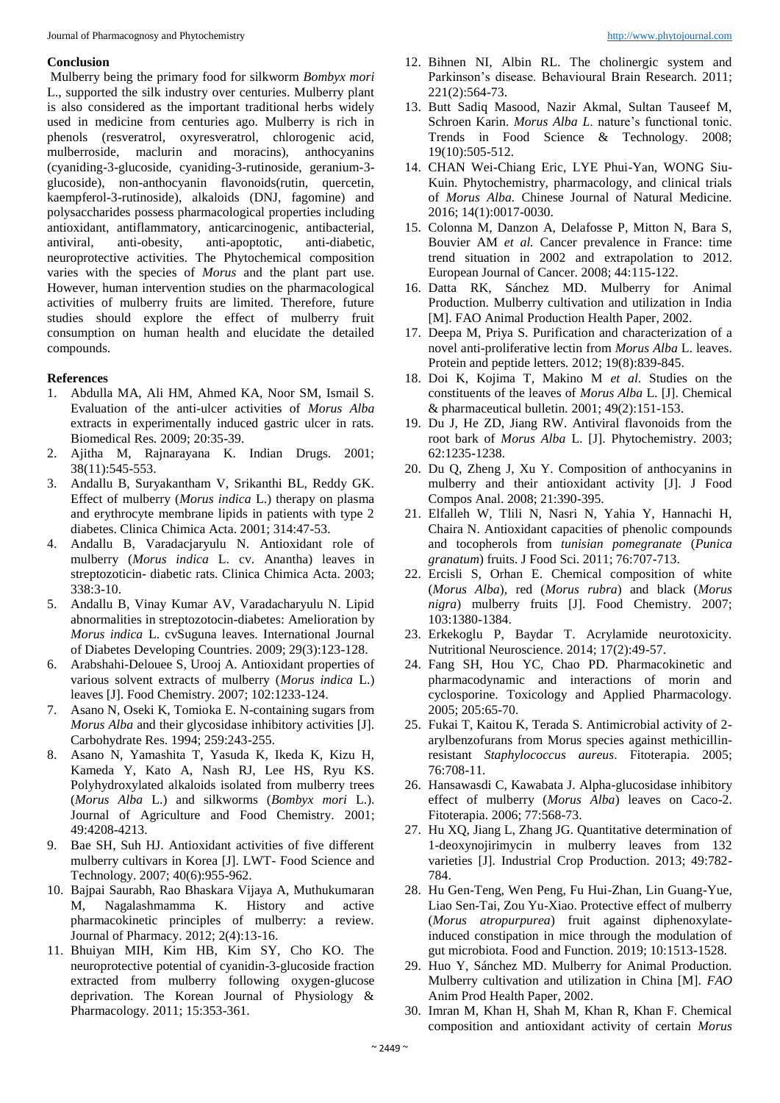### **Conclusion**

Mulberry being the primary food for silkworm *Bombyx mori*  L., supported the silk industry over centuries. Mulberry plant is also considered as the important traditional herbs widely used in medicine from centuries ago. Mulberry is rich in phenols (resveratrol, oxyresveratrol, chlorogenic acid, mulberroside, maclurin and moracins), anthocyanins (cyaniding-3-glucoside, cyaniding-3-rutinoside, geranium-3 glucoside), non-anthocyanin flavonoids(rutin, quercetin, kaempferol-3-rutinoside), alkaloids (DNJ, fagomine) and polysaccharides possess pharmacological properties including antioxidant, antiflammatory, anticarcinogenic, antibacterial, antiviral, anti-obesity, anti-apoptotic, anti-diabetic, neuroprotective activities. The Phytochemical composition varies with the species of *Morus* and the plant part use. However, human intervention studies on the pharmacological activities of mulberry fruits are limited. Therefore, future studies should explore the effect of mulberry fruit consumption on human health and elucidate the detailed compounds.

#### **References**

- 1. Abdulla MA, Ali HM, Ahmed KA, Noor SM, Ismail S. Evaluation of the anti-ulcer activities of *Morus Alba* extracts in experimentally induced gastric ulcer in rats. Biomedical Res*.* 2009; 20:35-39.
- 2. Ajitha M, Rajnarayana K. Indian Drugs. 2001; 38(11):545-553.
- 3. Andallu B, Suryakantham V, Srikanthi BL, Reddy GK. Effect of mulberry (*Morus indica* L.) therapy on plasma and erythrocyte membrane lipids in patients with type 2 diabetes. Clinica Chimica Acta. 2001; 314:47-53.
- 4. Andallu B, Varadacjaryulu N. Antioxidant role of mulberry (*Morus indica* L. cv. Anantha) leaves in streptozoticin- diabetic rats. Clinica Chimica Acta. 2003; 338:3-10.
- 5. Andallu B, Vinay Kumar AV, Varadacharyulu N. Lipid abnormalities in streptozotocin-diabetes: Amelioration by *Morus indica* L. cvSuguna leaves. International Journal of Diabetes Developing Countries. 2009; 29(3):123-128.
- 6. Arabshahi-Delouee S, Urooj A. Antioxidant properties of various solvent extracts of mulberry (*Morus indica* L.) leaves [J]. Food Chemistry. 2007; 102:1233-124.
- 7. Asano N, Oseki K, Tomioka E. N-containing sugars from *Morus Alba* and their glycosidase inhibitory activities [J]. Carbohydrate Res. 1994; 259:243-255.
- 8. Asano N, Yamashita T, Yasuda K, Ikeda K, Kizu H, Kameda Y, Kato A, Nash RJ, Lee HS, Ryu KS. Polyhydroxylated alkaloids isolated from mulberry trees (*Morus Alba* L.) and silkworms (*Bombyx mori* L.). Journal of Agriculture and Food Chemistry. 2001; 49:4208-4213.
- 9. Bae SH, Suh HJ. Antioxidant activities of five different mulberry cultivars in Korea [J]. LWT- Food Science and Technology. 2007; 40(6):955-962.
- 10. Bajpai Saurabh, Rao Bhaskara Vijaya A, Muthukumaran M, Nagalashmamma K. History and active pharmacokinetic principles of mulberry: a review. Journal of Pharmacy. 2012; 2(4):13-16.
- 11. Bhuiyan MIH, Kim HB, Kim SY, Cho KO. The neuroprotective potential of cyanidin-3-glucoside fraction extracted from mulberry following oxygen-glucose deprivation. The Korean Journal of Physiology & Pharmacology*.* 2011; 15:353-361.
- 12. Bihnen NI, Albin RL. The cholinergic system and Parkinson's disease. Behavioural Brain Research. 2011; 221(2):564-73.
- 13. Butt Sadiq Masood, Nazir Akmal, Sultan Tauseef M, Schroen Karin. *Morus Alba L*. nature's functional tonic. Trends in Food Science & Technology. 2008; 19(10):505-512.
- 14. CHAN Wei-Chiang Eric, LYE Phui-Yan, WONG Siu-Kuin. Phytochemistry, pharmacology, and clinical trials of *Morus Alba.* Chinese Journal of Natural Medicine. 2016; 14(1):0017-0030.
- 15. Colonna M, Danzon A, Delafosse P, Mitton N, Bara S, Bouvier AM *et al.* Cancer prevalence in France: time trend situation in 2002 and extrapolation to 2012. European Journal of Cancer. 2008; 44:115-122.
- 16. Datta RK, Sánchez MD. Mulberry for Animal Production. Mulberry cultivation and utilization in India [M]. FAO Animal Production Health Paper, 2002.
- 17. Deepa M, Priya S. Purification and characterization of a novel anti-proliferative lectin from *Morus Alba* L. leaves. Protein and peptide letters*.* 2012; 19(8):839-845.
- 18. Doi K, Kojima T, Makino M *et al*. Studies on the constituents of the leaves of *Morus Alba* L. [J]. Chemical & pharmaceutical bulletin*.* 2001; 49(2):151-153.
- 19. Du J, He ZD, Jiang RW. Antiviral flavonoids from the root bark of *Morus Alba* L. [J]. Phytochemistry. 2003; 62:1235-1238.
- 20. Du Q, Zheng J, Xu Y. Composition of anthocyanins in mulberry and their antioxidant activity [J]. J Food Compos Anal. 2008; 21:390-395.
- 21. Elfalleh W, Tlili N, Nasri N, Yahia Y, Hannachi H, Chaira N. Antioxidant capacities of phenolic compounds and tocopherols from *tunisian pomegranate* (*Punica granatum*) fruits. J Food Sci. 2011; 76:707-713.
- 22. Ercisli S, Orhan E. Chemical composition of white (*Morus Alba*), red (*Morus rubra*) and black (*Morus nigra*) mulberry fruits [J]. Food Chemistry. 2007; 103:1380-1384.
- 23. Erkekoglu P, Baydar T. Acrylamide neurotoxicity. Nutritional Neuroscience. 2014; 17(2):49-57.
- 24. Fang SH, Hou YC, Chao PD. Pharmacokinetic and pharmacodynamic and interactions of morin and cyclosporine. Toxicology and Applied Pharmacology. 2005; 205:65-70.
- 25. Fukai T, Kaitou K, Terada S. Antimicrobial activity of 2 arylbenzofurans from Morus species against methicillinresistant *Staphylococcus aureus*. Fitoterapia. 2005; 76:708-11.
- 26. Hansawasdi C, Kawabata J. Alpha-glucosidase inhibitory effect of mulberry (*Morus Alba*) leaves on Caco-2. Fitoterapia. 2006; 77:568-73.
- 27. Hu XQ, Jiang L, Zhang JG*.* Quantitative determination of 1-deoxynojirimycin in mulberry leaves from 132 varieties [J]. Industrial Crop Production. 2013; 49:782- 784.
- 28. Hu Gen-Teng, Wen Peng, Fu Hui-Zhan, Lin Guang-Yue, Liao Sen-Tai, Zou Yu-Xiao. Protective effect of mulberry (*Morus atropurpurea*) fruit against diphenoxylateinduced constipation in mice through the modulation of gut microbiota. Food and Function. 2019; 10:1513-1528.
- 29. Huo Y, Sánchez MD. Mulberry for Animal Production. Mulberry cultivation and utilization in China [M]. *FAO*  Anim Prod Health Paper, 2002.
- 30. Imran M, Khan H, Shah M, Khan R, Khan F. Chemical composition and antioxidant activity of certain *Morus*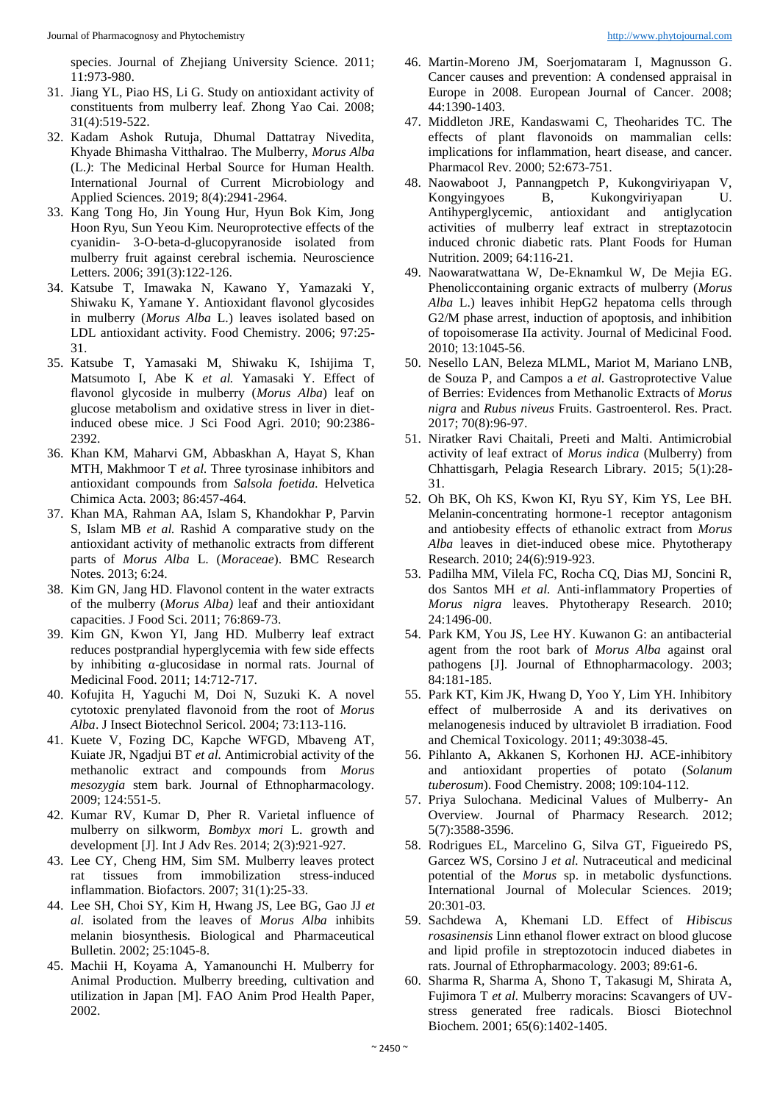species. Journal of Zhejiang University Science. 2011; 11:973-980.

- 31. Jiang YL, Piao HS, Li G. Study on antioxidant activity of constituents from mulberry leaf. Zhong Yao Cai. 2008; 31(4):519-522.
- 32. Kadam Ashok Rutuja, Dhumal Dattatray Nivedita, Khyade Bhimasha Vitthalrao. The Mulberry, *Morus Alba* (L.*)*: The Medicinal Herbal Source for Human Health. International Journal of Current Microbiology and Applied Sciences. 2019; 8(4):2941-2964.
- 33. Kang Tong Ho, Jin Young Hur, Hyun Bok Kim, Jong Hoon Ryu, Sun Yeou Kim. Neuroprotective effects of the cyanidin- 3-O-beta-d-glucopyranoside isolated from mulberry fruit against cerebral ischemia. Neuroscience Letters. 2006; 391(3):122-126.
- 34. Katsube T, Imawaka N, Kawano Y, Yamazaki Y, Shiwaku K, Yamane Y. Antioxidant flavonol glycosides in mulberry (*Morus Alba* L.) leaves isolated based on LDL antioxidant activity. Food Chemistry. 2006; 97:25- 31.
- 35. Katsube T, Yamasaki M, Shiwaku K, Ishijima T, Matsumoto I, Abe K *et al.* Yamasaki Y. Effect of flavonol glycoside in mulberry (*Morus Alba*) leaf on glucose metabolism and oxidative stress in liver in dietinduced obese mice. J Sci Food Agri. 2010; 90:2386- 2392.
- 36. Khan KM, Maharvi GM, Abbaskhan A, Hayat S, Khan MTH, Makhmoor T *et al.* Three tyrosinase inhibitors and antioxidant compounds from *Salsola foetida.* Helvetica Chimica Acta. 2003; 86:457-464*.*
- 37. Khan MA, Rahman AA, Islam S, Khandokhar P, Parvin S, Islam MB *et al.* Rashid A comparative study on the antioxidant activity of methanolic extracts from different parts of *Morus Alba* L. (*Moraceae*). BMC Research Notes. 2013; 6:24.
- 38. Kim GN, Jang HD. Flavonol content in the water extracts of the mulberry (*Morus Alba)* leaf and their antioxidant capacities. J Food Sci. 2011; 76:869-73.
- 39. Kim GN, Kwon YI, Jang HD. Mulberry leaf extract reduces postprandial hyperglycemia with few side effects by inhibiting α-glucosidase in normal rats. Journal of Medicinal Food. 2011; 14:712-717.
- 40. Kofujita H, Yaguchi M, Doi N, Suzuki K. A novel cytotoxic prenylated flavonoid from the root of *Morus Alba*. J Insect Biotechnol Sericol. 2004; 73:113-116.
- 41. Kuete V, Fozing DC, Kapche WFGD, Mbaveng AT, Kuiate JR, Ngadjui BT *et al.* Antimicrobial activity of the methanolic extract and compounds from *Morus mesozygia* stem bark. Journal of Ethnopharmacology. 2009; 124:551-5.
- 42. Kumar RV, Kumar D, Pher R. Varietal influence of mulberry on silkworm, *Bombyx mori* L. growth and development [J]. Int J Adv Res. 2014; 2(3):921-927.
- 43. Lee CY, Cheng HM, Sim SM. Mulberry leaves protect rat tissues from immobilization stress-induced inflammation. Biofactors. 2007; 31(1):25-33.
- 44. Lee SH, Choi SY, Kim H, Hwang JS, Lee BG, Gao JJ *et al.* isolated from the leaves of *Morus Alba* inhibits melanin biosynthesis. Biological and Pharmaceutical Bulletin. 2002; 25:1045-8.
- 45. Machii H, Koyama A, Yamanounchi H. Mulberry for Animal Production. Mulberry breeding, cultivation and utilization in Japan [M]. FAO Anim Prod Health Paper, 2002.
- 46. Martin-Moreno JM, Soerjomataram I, Magnusson G. Cancer causes and prevention: A condensed appraisal in Europe in 2008. European Journal of Cancer. 2008; 44:1390-1403.
- 47. Middleton JRE, Kandaswami C, Theoharides TC. The effects of plant flavonoids on mammalian cells: implications for inflammation, heart disease, and cancer. Pharmacol Rev. 2000; 52:673-751.
- 48. Naowaboot J, Pannangpetch P, Kukongviriyapan V, Kongyingyoes B, Kukongviriyapan U. Antihyperglycemic, antioxidant and antiglycation activities of mulberry leaf extract in streptazotocin induced chronic diabetic rats. Plant Foods for Human Nutrition. 2009; 64:116-21.
- 49. Naowaratwattana W, De-Eknamkul W, De Mejia EG. Phenoliccontaining organic extracts of mulberry (*Morus Alba* L.) leaves inhibit HepG2 hepatoma cells through G2/M phase arrest, induction of apoptosis, and inhibition of topoisomerase IIa activity. Journal of Medicinal Food. 2010; 13:1045-56.
- 50. Nesello LAN, Beleza MLML, Mariot M, Mariano LNB, de Souza P, and Campos a *et al.* Gastroprotective Value of Berries: Evidences from Methanolic Extracts of *Morus nigra* and *Rubus niveus* Fruits. Gastroenterol. Res. Pract*.*  2017; 70(8):96-97.
- 51. Niratker Ravi Chaitali, Preeti and Malti. Antimicrobial activity of leaf extract of *Morus indica* (Mulberry) from Chhattisgarh, Pelagia Research Library*.* 2015; 5(1):28- 31.
- 52. Oh BK, Oh KS, Kwon KI, Ryu SY, Kim YS, Lee BH. Melanin-concentrating hormone-1 receptor antagonism and antiobesity effects of ethanolic extract from *Morus Alba* leaves in diet-induced obese mice. Phytotherapy Research. 2010; 24(6):919-923.
- 53. Padilha MM, Vilela FC, Rocha CQ, Dias MJ, Soncini R, dos Santos MH *et al.* Anti-inflammatory Properties of *Morus nigra* leaves. Phytotherapy Research. 2010; 24:1496-00.
- 54. Park KM, You JS, Lee HY. Kuwanon G: an antibacterial agent from the root bark of *Morus Alba* against oral pathogens [J]. Journal of Ethnopharmacology. 2003; 84:181-185.
- 55. Park KT, Kim JK, Hwang D, Yoo Y, Lim YH. Inhibitory effect of mulberroside A and its derivatives on melanogenesis induced by ultraviolet B irradiation. Food and Chemical Toxicology. 2011; 49:3038-45.
- 56. Pihlanto A, Akkanen S, Korhonen HJ. ACE-inhibitory and antioxidant properties of potato (*Solanum tuberosum*). Food Chemistry. 2008; 109:104-112.
- 57. Priya Sulochana. Medicinal Values of Mulberry- An Overview. Journal of Pharmacy Research*.* 2012; 5(7):3588-3596.
- 58. Rodrigues EL, Marcelino G, Silva GT, Figueiredo PS, Garcez WS, Corsino J *et al.* Nutraceutical and medicinal potential of the *Morus* sp. in metabolic dysfunctions. International Journal of Molecular Sciences. 2019; 20:301-03.
- 59. Sachdewa A, Khemani LD. Effect of *Hibiscus rosasinensis* Linn ethanol flower extract on blood glucose and lipid profile in streptozotocin induced diabetes in rats. Journal of Ethropharmacology*.* 2003; 89:61-6.
- 60. Sharma R, Sharma A, Shono T, Takasugi M, Shirata A, Fujimora T *et al.* Mulberry moracins: Scavangers of UVstress generated free radicals. Biosci Biotechnol Biochem. 2001; 65(6):1402-1405.